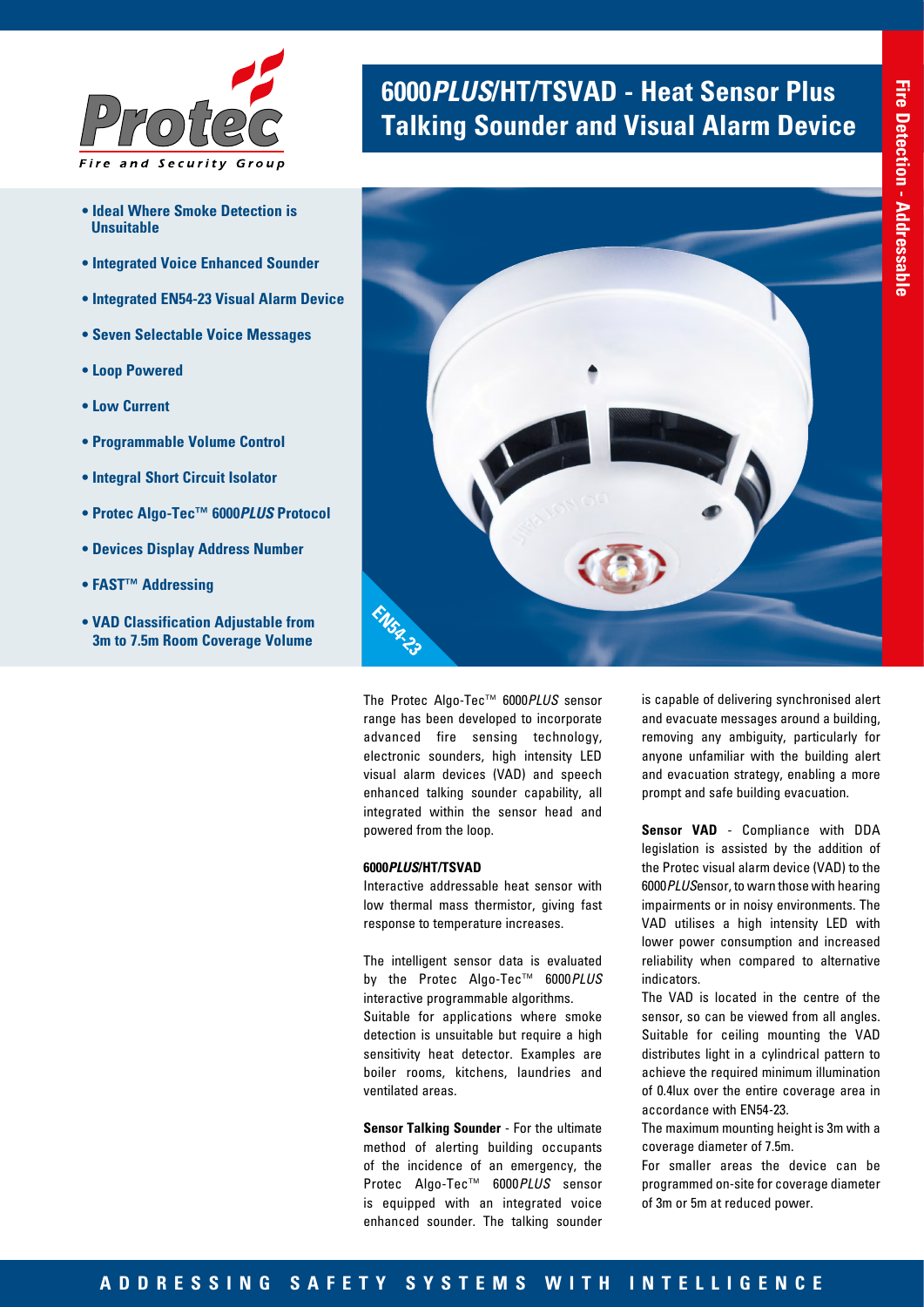

- **Ideal Where Smoke Detection is Unsuitable**
- **Integrated Voice Enhanced Sounder**
- **Integrated EN54-23 Visual Alarm Device**
- **Seven Selectable Voice Messages**
- **Loop Powered**
- **Low Current**
- **Programmable Volume Control**
- **Integral Short Circuit Isolator**
- **Protec Algo-Tec™ 6000***PLUS* **Protocol**
- **Devices Display Address Number**
- **FAST™ Addressing**
- **VAD Classification Adjustable from 3m to 7.5m Room Coverage Volume**

# **6000***PLUS***/HT/TSVAD - Heat Sensor Plus Talking Sounder and Visual Alarm Device**



The Protec Algo-Tec™ 6000*PLUS* sensor range has been developed to incorporate advanced fire sensing technology, electronic sounders, high intensity LED visual alarm devices (VAD) and speech enhanced talking sounder capability, all integrated within the sensor head and powered from the loop.

# **6000***PLUS***/HT/TSVAD**

Interactive addressable heat sensor with low thermal mass thermistor, giving fast response to temperature increases.

The intelligent sensor data is evaluated by the Protec Algo-Tec™ 6000*PLUS* interactive programmable algorithms. Suitable for applications where smoke detection is unsuitable but require a high sensitivity heat detector. Examples are boiler rooms, kitchens, laundries and ventilated areas.

**Sensor Talking Sounder** - For the ultimate method of alerting building occupants of the incidence of an emergency, the Protec Algo-Tec™ 6000*PLUS* sensor is equipped with an integrated voice enhanced sounder. The talking sounder

is capable of delivering synchronised alert and evacuate messages around a building, removing any ambiguity, particularly for anyone unfamiliar with the building alert and evacuation strategy, enabling a more prompt and safe building evacuation.

**Sensor VAD** - Compliance with DDA legislation is assisted by the addition of the Protec visual alarm device (VAD) to the 6000*PLUS*ensor, to warn those with hearing impairments or in noisy environments. The VAD utilises a high intensity LED with lower power consumption and increased reliability when compared to alternative indicators.

The VAD is located in the centre of the sensor, so can be viewed from all angles. Suitable for ceiling mounting the VAD distributes light in a cylindrical pattern to achieve the required minimum illumination of 0.4lux over the entire coverage area in accordance with EN54-23.

The maximum mounting height is 3m with a coverage diameter of 7.5m.

For smaller areas the device can be programmed on-site for coverage diameter of 3m or 5m at reduced power.